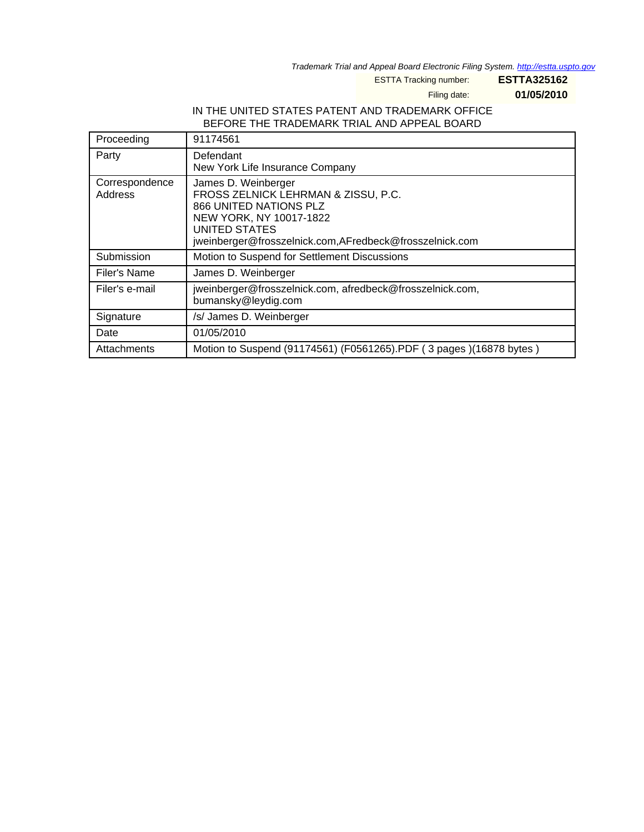Trademark Trial and Appeal Board Electronic Filing System. <http://estta.uspto.gov>

ESTTA Tracking number: **ESTTA325162**

Filing date: **01/05/2010**

## IN THE UNITED STATES PATENT AND TRADEMARK OFFICE BEFORE THE TRADEMARK TRIAL AND APPEAL BOARD

| Proceeding                | 91174561                                                                                                                                                                                           |
|---------------------------|----------------------------------------------------------------------------------------------------------------------------------------------------------------------------------------------------|
| Party                     | Defendant<br>New York Life Insurance Company                                                                                                                                                       |
| Correspondence<br>Address | James D. Weinberger<br>FROSS ZELNICK LEHRMAN & ZISSU, P.C.<br>866 UNITED NATIONS PLZ<br>NEW YORK, NY 10017-1822<br><b>UNITED STATES</b><br>jweinberger@frosszelnick.com,AFredbeck@frosszelnick.com |
| Submission                | Motion to Suspend for Settlement Discussions                                                                                                                                                       |
| Filer's Name              | James D. Weinberger                                                                                                                                                                                |
| Filer's e-mail            | jweinberger@frosszelnick.com, afredbeck@frosszelnick.com,<br>bumansky@leydig.com                                                                                                                   |
| Signature                 | /s/ James D. Weinberger                                                                                                                                                                            |
| Date                      | 01/05/2010                                                                                                                                                                                         |
| Attachments               | Motion to Suspend (91174561) (F0561265).PDF (3 pages) (16878 bytes)                                                                                                                                |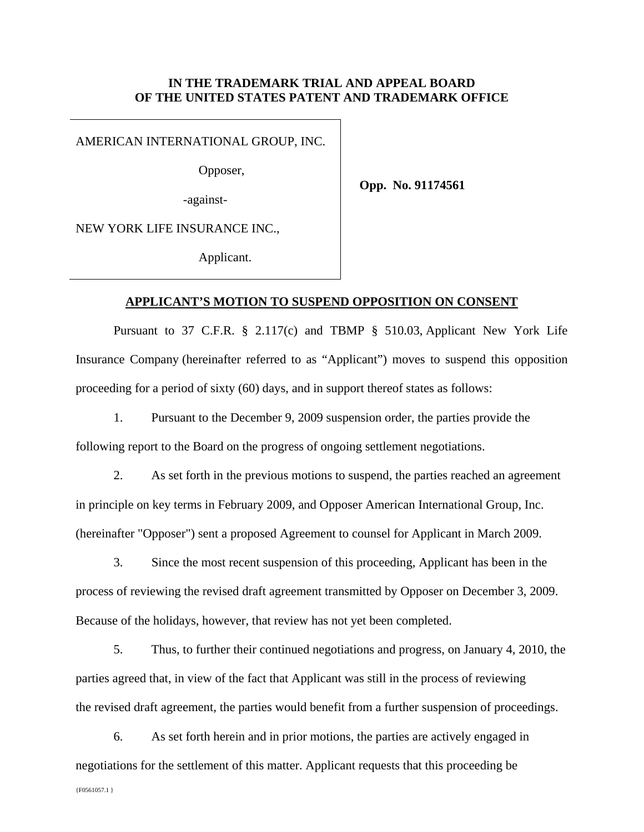## **IN THE TRADEMARK TRIAL AND APPEAL BOARD OF THE UNITED STATES PATENT AND TRADEMARK OFFICE**

AMERICAN INTERNATIONAL GROUP, INC.

-against-

Opposer,

**Opp. No. 91174561** 

NEW YORK LIFE INSURANCE INC.,

Applicant.

## **APPLICANT'S MOTION TO SUSPEND OPPOSITION ON CONSENT**

Pursuant to 37 C.F.R. § 2.117(c) and TBMP § 510.03, Applicant New York Life Insurance Company (hereinafter referred to as "Applicant") moves to suspend this opposition proceeding for a period of sixty (60) days, and in support thereof states as follows:

1. Pursuant to the December 9, 2009 suspension order, the parties provide the following report to the Board on the progress of ongoing settlement negotiations.

2. As set forth in the previous motions to suspend, the parties reached an agreement in principle on key terms in February 2009, and Opposer American International Group, Inc. (hereinafter "Opposer") sent a proposed Agreement to counsel for Applicant in March 2009.

3. Since the most recent suspension of this proceeding, Applicant has been in the process of reviewing the revised draft agreement transmitted by Opposer on December 3, 2009. Because of the holidays, however, that review has not yet been completed.

5. Thus, to further their continued negotiations and progress, on January 4, 2010, the parties agreed that, in view of the fact that Applicant was still in the process of reviewing the revised draft agreement, the parties would benefit from a further suspension of proceedings.

6. As set forth herein and in prior motions, the parties are actively engaged in negotiations for the settlement of this matter. Applicant requests that this proceeding be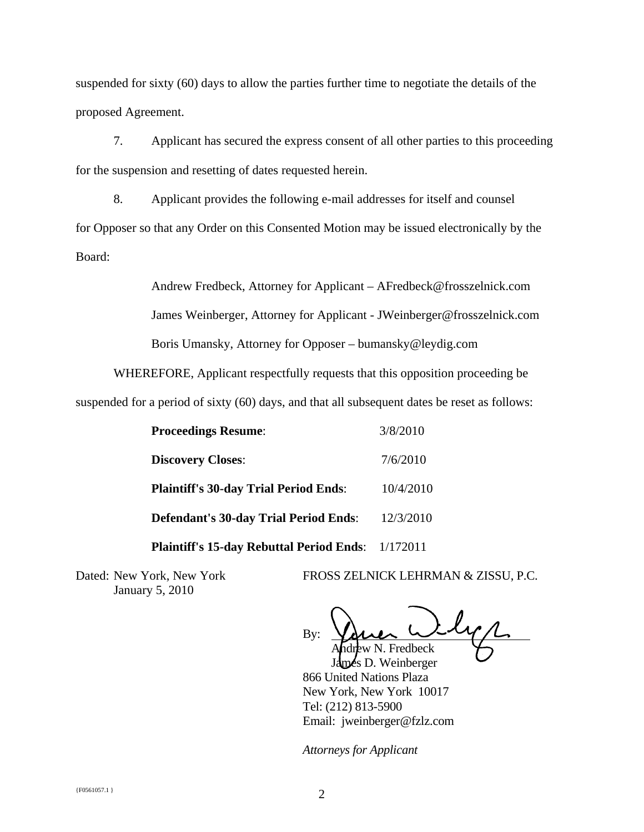suspended for sixty (60) days to allow the parties further time to negotiate the details of the proposed Agreement.

7. Applicant has secured the express consent of all other parties to this proceeding for the suspension and resetting of dates requested herein.

8. Applicant provides the following e-mail addresses for itself and counsel for Opposer so that any Order on this Consented Motion may be issued electronically by the Board:

> Andrew Fredbeck, Attorney for Applicant – AFredbeck@frosszelnick.com James Weinberger, Attorney for Applicant - JWeinberger@frosszelnick.com Boris Umansky, Attorney for Opposer – bumansky@leydig.com

WHEREFORE, Applicant respectfully requests that this opposition proceeding be

suspended for a period of sixty (60) days, and that all subsequent dates be reset as follows:

| <b>Proceedings Resume:</b>                               | 3/8/2010  |
|----------------------------------------------------------|-----------|
| <b>Discovery Closes:</b>                                 | 7/6/2010  |
| <b>Plaintiff's 30-day Trial Period Ends:</b>             | 10/4/2010 |
| <b>Defendant's 30-day Trial Period Ends:</b>             | 12/3/2010 |
| <b>Plaintiff's 15-day Rebuttal Period Ends:</b> 1/172011 |           |

January 5, 2010

Dated: New York, New York FROSS ZELNICK LEHRMAN & ZISSU, P.C.

By: Fredbeck

Is D. Weinberger 866 United Nations Plaza New York, New York 10017 Tel: (212) 813-5900 Email: jweinberger@fzlz.com

*Attorneys for Applicant*